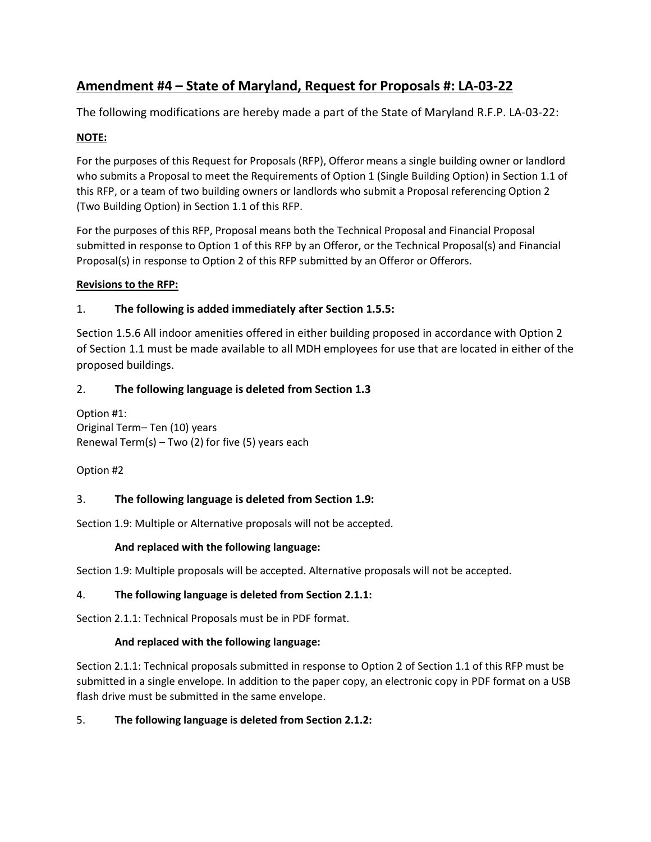# **Amendment #4 – State of Maryland, Request for Proposals #: LA-03-22**

The following modifications are hereby made a part of the State of Maryland R.F.P. LA-03-22:

## **NOTE:**

For the purposes of this Request for Proposals (RFP), Offeror means a single building owner or landlord who submits a Proposal to meet the Requirements of Option 1 (Single Building Option) in Section 1.1 of this RFP, or a team of two building owners or landlords who submit a Proposal referencing Option 2 (Two Building Option) in Section 1.1 of this RFP.

For the purposes of this RFP, Proposal means both the Technical Proposal and Financial Proposal submitted in response to Option 1 of this RFP by an Offeror, or the Technical Proposal(s) and Financial Proposal(s) in response to Option 2 of this RFP submitted by an Offeror or Offerors.

#### **Revisions to the RFP:**

#### 1. **The following is added immediately after Section 1.5.5:**

Section 1.5.6 All indoor amenities offered in either building proposed in accordance with Option 2 of Section 1.1 must be made available to all MDH employees for use that are located in either of the proposed buildings.

#### 2. **The following language is deleted from Section 1.3**

Option #1: Original Term– Ten (10) years Renewal Term(s) – Two (2) for five (5) years each

Option #2

#### 3. **The following language is deleted from Section 1.9:**

Section 1.9: Multiple or Alternative proposals will not be accepted.

#### **And replaced with the following language:**

Section 1.9: Multiple proposals will be accepted. Alternative proposals will not be accepted.

#### 4. **The following language is deleted from Section 2.1.1:**

Section 2.1.1: Technical Proposals must be in PDF format.

#### **And replaced with the following language:**

Section 2.1.1: Technical proposals submitted in response to Option 2 of Section 1.1 of this RFP must be submitted in a single envelope. In addition to the paper copy, an electronic copy in PDF format on a USB flash drive must be submitted in the same envelope.

#### 5. **The following language is deleted from Section 2.1.2:**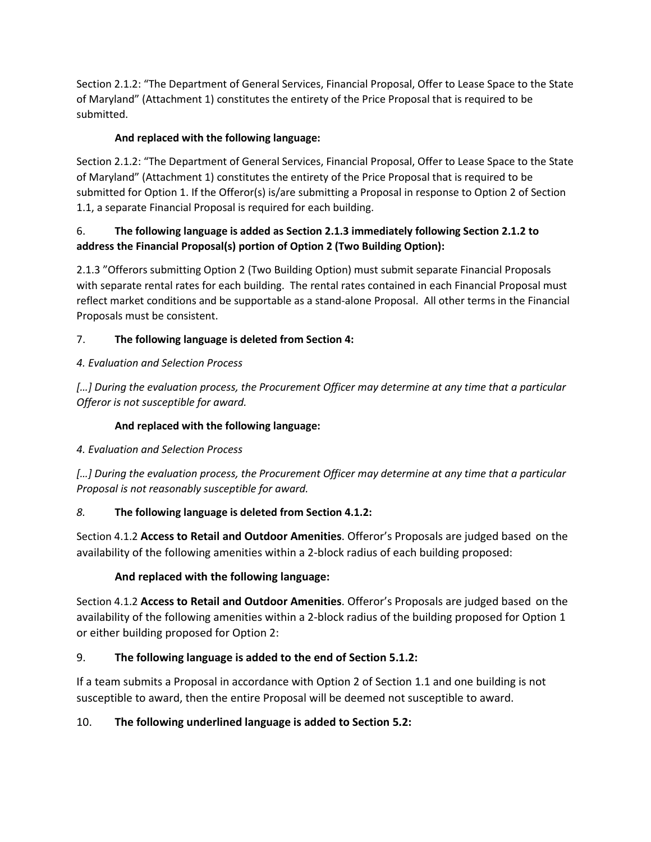Section 2.1.2: "The Department of General Services, Financial Proposal, Offer to Lease Space to the State of Maryland" (Attachment 1) constitutes the entirety of the Price Proposal that is required to be submitted.

#### **And replaced with the following language:**

Section 2.1.2: "The Department of General Services, Financial Proposal, Offer to Lease Space to the State of Maryland" (Attachment 1) constitutes the entirety of the Price Proposal that is required to be submitted for Option 1. If the Offeror(s) is/are submitting a Proposal in response to Option 2 of Section 1.1, a separate Financial Proposal is required for each building.

#### 6. **The following language is added as Section 2.1.3 immediately following Section 2.1.2 to address the Financial Proposal(s) portion of Option 2 (Two Building Option):**

2.1.3 "Offerors submitting Option 2 (Two Building Option) must submit separate Financial Proposals with separate rental rates for each building. The rental rates contained in each Financial Proposal must reflect market conditions and be supportable as a stand-alone Proposal. All other terms in the Financial Proposals must be consistent.

## 7. **The following language is deleted from Section 4:**

## *4. Evaluation and Selection Process*

[…] During the evaluation process, the Procurement Officer may determine at any time that a particular *Offeror is not susceptible for award.*

## **And replaced with the following language:**

# *4. Evaluation and Selection Process*

*[…] During the evaluation process, the Procurement Officer may determine at any time that a particular Proposal is not reasonably susceptible for award.*

# *8.* **The following language is deleted from Section 4.1.2:**

Section 4.1.2 **Access to Retail and Outdoor Amenities**. Offeror's Proposals are judged based on the availability of the following amenities within a 2-block radius of each building proposed:

# **And replaced with the following language:**

Section 4.1.2 **Access to Retail and Outdoor Amenities**. Offeror's Proposals are judged based on the availability of the following amenities within a 2-block radius of the building proposed for Option 1 or either building proposed for Option 2:

# 9. **The following language is added to the end of Section 5.1.2:**

If a team submits a Proposal in accordance with Option 2 of Section 1.1 and one building is not susceptible to award, then the entire Proposal will be deemed not susceptible to award.

# 10. **The following underlined language is added to Section 5.2:**